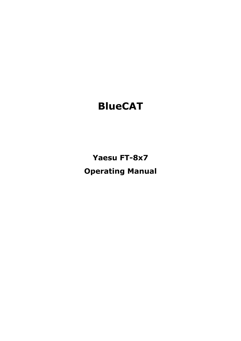# **BlueCAT**

**Yaesu FT-8x7 Operating Manual**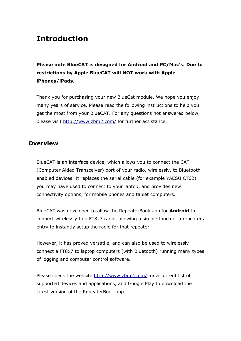# **Introduction**

**Please note BlueCAT is designed for Android and PC/Mac's. Due to restrictions by Apple BlueCAT will NOT work with Apple iPhones/iPads.** 

Thank you for purchasing your new BlueCat module. We hope you enjoy many years of service. Please read the following instructions to help you get the most from your BlueCAT. For any questions not answered below, please visit http://www.zbm2.com/ for further assistance.

# **Overview**

BlueCAT is an interface device, which allows you to connect the CAT (Computer Aided Transceiver) port of your radio, wirelessly, to Bluetooth enabled devices. It replaces the serial cable (for example YAESU CT62) you may have used to connect to your laptop, and provides new connectivity options, for mobile phones and tablet computers.

BlueCAT was developed to allow the RepeaterBook app for **Android** to connect wirelessly to a FT8x7 radio, allowing a simple touch of a repeaters entry to instantly setup the radio for that repeater.

However, it has proved versatile, and can also be used to wirelessly connect a FT8x7 to laptop computers (with Bluetooth) running many types of logging and computer control software.

Please check the website http://www.zbm2.com/ for a current list of supported devices and applications, and Google Play to download the latest version of the RepeaterBook app.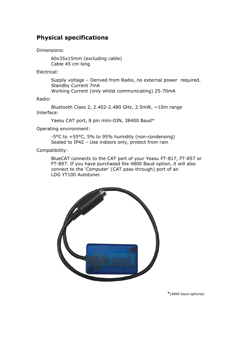# **Physical specifications**

Dimensions:

60x35x15mm (excluding cable) Cable 45 cm long

Electrical:

Supply voltage – Derived from Radio, no external power required. Standby Current 7mA Working Current (only whilst communicating) 25-70mA

Radio:

Bluetooth Class 2, 2.402-2.480 GHz, 2.5mW, ~10m range Interface:

Yaesu CAT port, 8 pin mini-DIN, 38400 Baud\*

Operating environment:

-5°C to +55°C, 5% to 95% humidity (non-condensing) Sealed to IP42 – Use indoors only, protect from rain

Compatibility:

BlueCAT connects to the CAT port of your Yeasu FT-817, FT-857 or FT-897. If you have purchased the 4800 Baud option, it will also connect to the 'Computer' (CAT pass-through) port of an LDG YT100 Autotuner.



\*(4800 baud optional)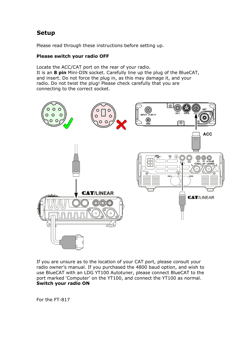# **Setup**

Please read through these instructions before setting up.

#### **Please switch your radio OFF**

Locate the ACC/CAT port on the rear of your radio. It is an **8 pin** Mini-DIN socket. Carefully line up the plug of the BlueCAT, and insert. Do not force the plug in, as this may damage it, and your radio. Do not twist the plug! Please check carefully that you are connecting to the correct socket.



If you are unsure as to the location of your CAT port, please consult your radio owner's manual. If you purchased the 4800 baud option, and wish to use BlueCAT with an LDG YT100 Autotuner, please connect BlueCAT to the port marked 'Computer' on the YT100, and connect the YT100 as normal. **Switch your radio ON**

For the FT-817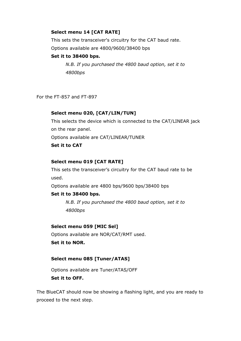#### **Select menu 14 [CAT RATE]**

This sets the transceiver's circuitry for the CAT baud rate. Options available are 4800/9600/38400 bps

#### **Set it to 38400 bps.**

*N.B. If you purchased the 4800 baud option, set it to 4800bps*

For the FT-857 and FT-897

#### **Select menu 020, [CAT/LIN/TUN]**

This selects the device which is connected to the CAT/LINEAR jack on the rear panel. Options available are CAT/LINEAR/TUNER **Set it to CAT**

#### **Select menu 019 [CAT RATE]**

This sets the transceiver's circuitry for the CAT baud rate to be used.

Options available are 4800 bps/9600 bps/38400 bps

#### **Set it to 38400 bps.**

*N.B. If you purchased the 4800 baud option, set it to 4800bps*

#### **Select menu 059 [MIC Sel]**

Options available are NOR/CAT/RMT used.

**Set it to NOR.**

#### **Select menu 085 [Tuner/ATAS]**

Options available are Tuner/ATAS/OFF **Set it to OFF.**

The BlueCAT should now be showing a flashing light, and you are ready to proceed to the next step.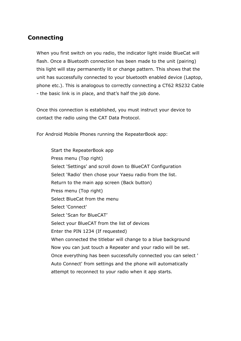# **Connecting**

When you first switch on you radio, the indicator light inside BlueCat will flash. Once a Bluetooth connection has been made to the unit (pairing) this light will stay permanently lit or change pattern. This shows that the unit has successfully connected to your bluetooth enabled device (Laptop, phone etc.). This is analogous to correctly connecting a CT62 RS232 Cable - the basic link is in place, and that's half the job done.

Once this connection is established, you must instruct your device to contact the radio using the CAT Data Protocol.

For Android Mobile Phones running the RepeaterBook app:

Start the RepeaterBook app Press menu (Top right) Select 'Settings' and scroll down to BlueCAT Configuration Select 'Radio' then chose your Yaesu radio from the list. Return to the main app screen (Back button) Press menu (Top right) Select BlueCat from the menu Select 'Connect' Select 'Scan for BlueCAT' Select your BlueCAT from the list of devices Enter the PIN 1234 (If requested) When connected the titlebar will change to a blue background Now you can just touch a Repeater and your radio will be set. Once everything has been successfully connected you can select ' Auto Connect' from settings and the phone will automatically attempt to reconnect to your radio when it app starts.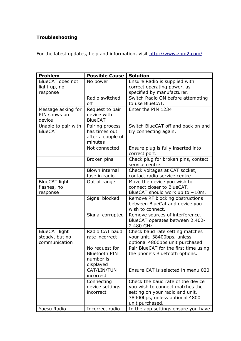### **Troubleshooting**

For the latest updates, help and information, visit http://www.zbm2.com/

| <b>BlueCAT</b> does not<br>Ensure Radio is supplied with<br>No power<br>correct operating power, as<br>light up, no<br>specified by manufacturer.<br>response<br>Radio switched<br>Switch Radio ON before attempting<br>off<br>to use BlueCAT.<br>Enter the PIN 1234<br>Message asking for<br>Request to pair<br>PIN shows on<br>device with<br><b>BlueCAT</b><br>device<br>Switch BlueCAT off and back on and<br>Unable to pair with<br>Pairing process<br><b>BlueCAT</b><br>has times out<br>try connecting again.<br>after a couple of<br>minutes<br>Ensure plug is fully inserted into<br>Not connected | <b>Problem</b> | <b>Possible Cause</b> | <b>Solution</b> |
|-------------------------------------------------------------------------------------------------------------------------------------------------------------------------------------------------------------------------------------------------------------------------------------------------------------------------------------------------------------------------------------------------------------------------------------------------------------------------------------------------------------------------------------------------------------------------------------------------------------|----------------|-----------------------|-----------------|
|                                                                                                                                                                                                                                                                                                                                                                                                                                                                                                                                                                                                             |                |                       |                 |
|                                                                                                                                                                                                                                                                                                                                                                                                                                                                                                                                                                                                             |                |                       |                 |
|                                                                                                                                                                                                                                                                                                                                                                                                                                                                                                                                                                                                             |                |                       |                 |
|                                                                                                                                                                                                                                                                                                                                                                                                                                                                                                                                                                                                             |                |                       |                 |
|                                                                                                                                                                                                                                                                                                                                                                                                                                                                                                                                                                                                             |                |                       |                 |
|                                                                                                                                                                                                                                                                                                                                                                                                                                                                                                                                                                                                             |                |                       |                 |
|                                                                                                                                                                                                                                                                                                                                                                                                                                                                                                                                                                                                             |                |                       |                 |
|                                                                                                                                                                                                                                                                                                                                                                                                                                                                                                                                                                                                             |                |                       |                 |
|                                                                                                                                                                                                                                                                                                                                                                                                                                                                                                                                                                                                             |                |                       |                 |
|                                                                                                                                                                                                                                                                                                                                                                                                                                                                                                                                                                                                             |                |                       |                 |
|                                                                                                                                                                                                                                                                                                                                                                                                                                                                                                                                                                                                             |                |                       |                 |
|                                                                                                                                                                                                                                                                                                                                                                                                                                                                                                                                                                                                             |                |                       |                 |
|                                                                                                                                                                                                                                                                                                                                                                                                                                                                                                                                                                                                             |                |                       |                 |
|                                                                                                                                                                                                                                                                                                                                                                                                                                                                                                                                                                                                             |                |                       | correct port.   |
| Check plug for broken pins, contact<br>Broken pins                                                                                                                                                                                                                                                                                                                                                                                                                                                                                                                                                          |                |                       |                 |
| service centre.                                                                                                                                                                                                                                                                                                                                                                                                                                                                                                                                                                                             |                |                       |                 |
| <b>Blown internal</b><br>Check voltages at CAT socket,                                                                                                                                                                                                                                                                                                                                                                                                                                                                                                                                                      |                |                       |                 |
| contact radio service centre.<br>fuse in radio                                                                                                                                                                                                                                                                                                                                                                                                                                                                                                                                                              |                |                       |                 |
| <b>BlueCAT light</b><br>Out of range<br>Move the device you wish to                                                                                                                                                                                                                                                                                                                                                                                                                                                                                                                                         |                |                       |                 |
| connect closer to BlueCAT.<br>flashes, no                                                                                                                                                                                                                                                                                                                                                                                                                                                                                                                                                                   |                |                       |                 |
| BlueCAT should work up to $\sim$ 10m.<br>response                                                                                                                                                                                                                                                                                                                                                                                                                                                                                                                                                           |                |                       |                 |
| Signal blocked<br>Remove RF blocking obstructions                                                                                                                                                                                                                                                                                                                                                                                                                                                                                                                                                           |                |                       |                 |
| between BlueCat and device you                                                                                                                                                                                                                                                                                                                                                                                                                                                                                                                                                                              |                |                       |                 |
| wish to connect.                                                                                                                                                                                                                                                                                                                                                                                                                                                                                                                                                                                            |                |                       |                 |
| Remove sources of interference.<br>Signal corrupted                                                                                                                                                                                                                                                                                                                                                                                                                                                                                                                                                         |                |                       |                 |
| BlueCAT operates between 2.402-                                                                                                                                                                                                                                                                                                                                                                                                                                                                                                                                                                             |                |                       |                 |
| 2.480 GHz.                                                                                                                                                                                                                                                                                                                                                                                                                                                                                                                                                                                                  |                |                       |                 |
| Radio CAT baud<br><b>BlueCAT light</b><br>Check baud rate setting matches                                                                                                                                                                                                                                                                                                                                                                                                                                                                                                                                   |                |                       |                 |
| steady, but no<br>your unit. 38400bps, unless<br>rate incorrect                                                                                                                                                                                                                                                                                                                                                                                                                                                                                                                                             |                |                       |                 |
| optional 4800bps unit purchased.<br>communication<br>Pair BlueCAT for the first time using                                                                                                                                                                                                                                                                                                                                                                                                                                                                                                                  |                |                       |                 |
| No request for<br><b>Bluetooth PIN</b>                                                                                                                                                                                                                                                                                                                                                                                                                                                                                                                                                                      |                |                       |                 |
| the phone's Bluetooth options.<br>number is                                                                                                                                                                                                                                                                                                                                                                                                                                                                                                                                                                 |                |                       |                 |
| displayed                                                                                                                                                                                                                                                                                                                                                                                                                                                                                                                                                                                                   |                |                       |                 |
| Ensure CAT is selected in menu 020<br>CAT/LIN/TUN                                                                                                                                                                                                                                                                                                                                                                                                                                                                                                                                                           |                |                       |                 |
| incorrect                                                                                                                                                                                                                                                                                                                                                                                                                                                                                                                                                                                                   |                |                       |                 |
| Check the baud rate of the device<br>Connecting                                                                                                                                                                                                                                                                                                                                                                                                                                                                                                                                                             |                |                       |                 |
| device settings<br>you wish to connect matches the                                                                                                                                                                                                                                                                                                                                                                                                                                                                                                                                                          |                |                       |                 |
| incorrect<br>setting on your radio and unit.                                                                                                                                                                                                                                                                                                                                                                                                                                                                                                                                                                |                |                       |                 |
| 38400bps, unless optional 4800                                                                                                                                                                                                                                                                                                                                                                                                                                                                                                                                                                              |                |                       |                 |
| unit purchased.                                                                                                                                                                                                                                                                                                                                                                                                                                                                                                                                                                                             |                |                       |                 |
| Yaesu Radio<br>Incorrect radio<br>In the app settings ensure you have                                                                                                                                                                                                                                                                                                                                                                                                                                                                                                                                       |                |                       |                 |